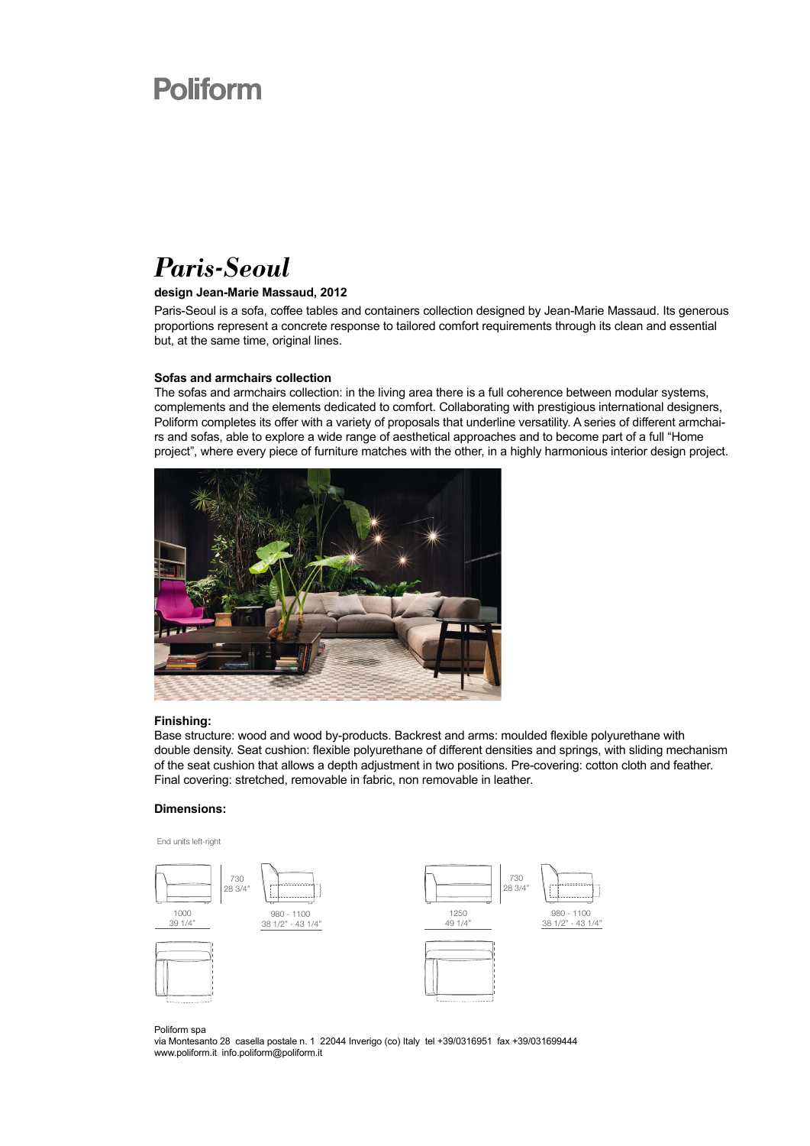## **Poliform**

### *Paris-Seoul*

#### **design Jean-Marie Massaud, 2012**

Paris-Seoul is a sofa, coffee tables and containers collection designed by Jean-Marie Massaud. Its generous proportions represent a concrete response to tailored comfort requirements through its clean and essential but, at the same time, original lines.

#### **Sofas and armchairs collection**

The sofas and armchairs collection: in the living area there is a full coherence between modular systems, complements and the elements dedicated to comfort. Collaborating with prestigious international designers, Poliform completes its offer with a variety of proposals that underline versatility. A series of different armchairs and sofas, able to explore a wide range of aesthetical approaches and to become part of a full "Home project", where every piece of furniture matches with the other, in a highly harmonious interior design project.



#### **Finishing:**

Base structure: wood and wood by-products. Backrest and arms: moulded flexible polyurethane with double density. Seat cushion: flexible polyurethane of different densities and springs, with sliding mechanism of the seat cushion that allows a depth adjustment in two positions. Pre-covering: cotton cloth and feather. Final covering: stretched, removable in fabric, non removable in leather.

#### **Dimensions:**



Poliform spa

via Montesanto 28 casella postale n. 1 22044 Inverigo (co) Italy tel +39/0316951 fax +39/031699444 www.poliform.it info.poliform@poliform.it